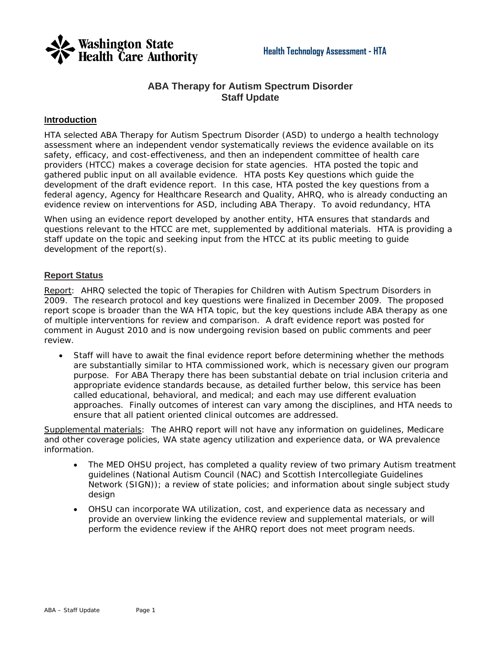

## **ABA Therapy for Autism Spectrum Disorder Staff Update**

### **Introduction**

HTA selected ABA Therapy for Autism Spectrum Disorder (ASD) to undergo a health technology assessment where an independent vendor systematically reviews the evidence available on its safety, efficacy, and cost-effectiveness, and then an independent committee of health care providers (HTCC) makes a coverage decision for state agencies. HTA posted the topic and gathered public input on all available evidence. HTA posts Key questions which guide the development of the draft evidence report. In this case, HTA posted the key questions from a federal agency, Agency for Healthcare Research and Quality, AHRQ, who is already conducting an evidence review on interventions for ASD, including ABA Therapy. To avoid redundancy, HTA

When using an evidence report developed by another entity, HTA ensures that standards and questions relevant to the HTCC are met, supplemented by additional materials. HTA is providing a staff update on the topic and seeking input from the HTCC at its public meeting to guide development of the report(s).

#### **Report Status**

Report: AHRQ selected the topic of Therapies for Children with Autism Spectrum Disorders in 2009. The research protocol and key questions were finalized in December 2009. The proposed report scope is broader than the WA HTA topic, but the key questions include ABA therapy as one of multiple interventions for review and comparison. A draft evidence report was posted for comment in August 2010 and is now undergoing revision based on public comments and peer review.

• Staff will have to await the final evidence report before determining whether the methods are substantially similar to HTA commissioned work, which is necessary given our program purpose. For ABA Therapy there has been substantial debate on trial inclusion criteria and appropriate evidence standards because, as detailed further below, this service has been called educational, behavioral, and medical; and each may use different evaluation approaches. Finally outcomes of interest can vary among the disciplines, and HTA needs to ensure that all patient oriented clinical outcomes are addressed.

Supplemental materials: The AHRQ report will not have any information on guidelines, Medicare and other coverage policies, WA state agency utilization and experience data, or WA prevalence information.

- The MED OHSU project, has completed a quality review of two primary Autism treatment guidelines (National Autism Council (NAC) and Scottish Intercollegiate Guidelines Network (SIGN)); a review of state policies; and information about single subject study design
- OHSU can incorporate WA utilization, cost, and experience data as necessary and provide an overview linking the evidence review and supplemental materials, or will perform the evidence review if the AHRQ report does not meet program needs.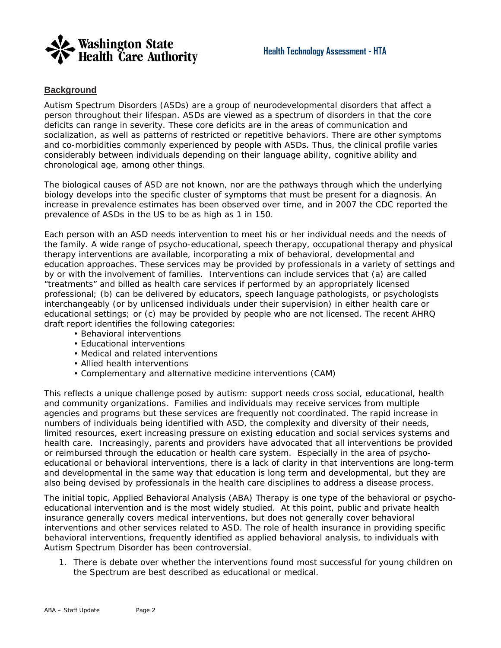

## **Background**

Autism Spectrum Disorders (ASDs) are a group of neurodevelopmental disorders that affect a person throughout their lifespan. ASDs are viewed as a spectrum of disorders in that the core deficits can range in severity. These core deficits are in the areas of communication and socialization, as well as patterns of restricted or repetitive behaviors. There are other symptoms and co-morbidities commonly experienced by people with ASDs. Thus, the clinical profile varies considerably between individuals depending on their language ability, cognitive ability and chronological age, among other things.

The biological causes of ASD are not known, nor are the pathways through which the underlying biology develops into the specific cluster of symptoms that must be present for a diagnosis. An increase in prevalence estimates has been observed over time, and in 2007 the CDC reported the prevalence of ASDs in the US to be as high as 1 in 150.

Each person with an ASD needs intervention to meet his or her individual needs and the needs of the family. A wide range of psycho-educational, speech therapy, occupational therapy and physical therapy interventions are available, incorporating a mix of behavioral, developmental and education approaches. These services may be provided by professionals in a variety of settings and by or with the involvement of families. Interventions can include services that (a) are called "treatments" and billed as health care services if performed by an appropriately licensed professional; (b) can be delivered by educators, speech language pathologists, or psychologists interchangeably (or by unlicensed individuals under their supervision) in either health care or educational settings; or (c) may be provided by people who are not licensed. The recent AHRQ draft report identifies the following categories:

- Behavioral interventions
- Educational interventions
- Medical and related interventions
- Allied health interventions
- Complementary and alternative medicine interventions (CAM)

This reflects a unique challenge posed by autism: support needs cross social, educational, health and community organizations. Families and individuals may receive services from multiple agencies and programs but these services are frequently not coordinated. The rapid increase in numbers of individuals being identified with ASD, the complexity and diversity of their needs, limited resources, exert increasing pressure on existing education and social services systems and health care. Increasingly, parents and providers have advocated that all interventions be provided or reimbursed through the education or health care system. Especially in the area of psychoeducational or behavioral interventions, there is a lack of clarity in that interventions are long-term and developmental in the same way that education is long term and developmental, but they are also being devised by professionals in the health care disciplines to address a disease process.

The initial topic, Applied Behavioral Analysis (ABA) Therapy is one type of the behavioral or psychoeducational intervention and is the most widely studied. At this point, public and private health insurance generally covers medical interventions, but does not generally cover behavioral interventions and other services related to ASD. The role of health insurance in providing specific behavioral interventions, frequently identified as applied behavioral analysis, to individuals with Autism Spectrum Disorder has been controversial.

1. There is debate over whether the interventions found most successful for young children on the Spectrum are best described as educational or medical.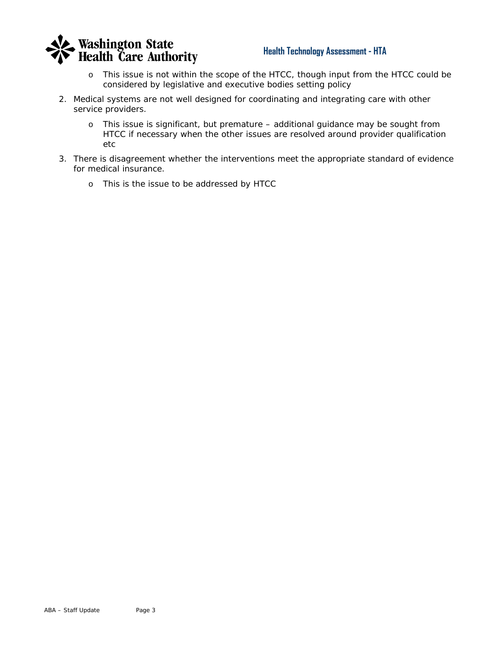

## **Health Technology Assessment - HTA**

- o *This issue is not within the scope of the HTCC, though input from the HTCC could be considered by legislative and executive bodies setting policy*
- 2. Medical systems are not well designed for coordinating and integrating care with other service providers.
	- o *This issue is significant, but premature additional guidance may be sought from HTCC if necessary when the other issues are resolved around provider qualification etc*
- 3. There is disagreement whether the interventions meet the appropriate standard of evidence for medical insurance.
	- o *This is the issue to be addressed by HTCC*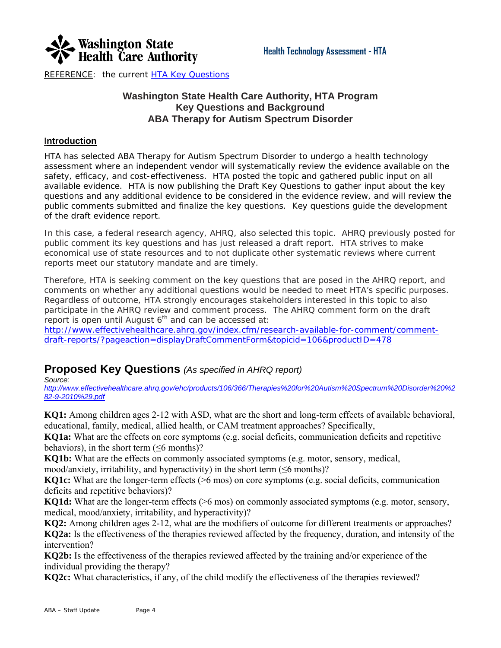

REFERENCE: the current [HTA Key Questions](http://www.hta.hca.wa.gov/documents/aba_draft_key_questions.pdf)

# **Washington State Health Care Authority, HTA Program Key Questions and Background ABA Therapy for Autism Spectrum Disorder**

## **Introduction**

HTA has selected ABA Therapy for Autism Spectrum Disorder to undergo a health technology assessment where an independent vendor will systematically review the evidence available on the safety, efficacy, and cost-effectiveness. HTA posted the topic and gathered public input on all available evidence. HTA is now publishing the Draft Key Questions to gather input about the key questions and any additional evidence to be considered in the evidence review, and will review the public comments submitted and finalize the key questions. Key questions guide the development of the draft evidence report.

*In this case, a federal research agency, AHRQ, also selected this topic. AHRQ previously posted for public comment its key questions and has just released a draft report. HTA strives to make economical use of state resources and to not duplicate other systematic reviews where current reports meet our statutory mandate and are timely.* 

Therefore, HTA is seeking comment on the key questions that are posed in the AHRQ report, and comments on whether any additional questions would be needed to meet HTA's specific purposes. Regardless of outcome, HTA strongly encourages stakeholders interested in this topic to also participate in the AHRQ review and comment process. The AHRQ comment form on the draft report is open until August  $6<sup>th</sup>$  and can be accessed at:

[http://www.effectivehealthcare.ahrq.gov/index.cfm/research-available-for-comment/comment](http://www.effectivehealthcare.ahrq.gov/index.cfm/research-available-for-comment/comment-draft-reports/?pageaction=displayDraftCommentForm&topicid=106&productID=478)[draft-reports/?pageaction=displayDraftCommentForm&topicid=106&productID=478](http://www.effectivehealthcare.ahrq.gov/index.cfm/research-available-for-comment/comment-draft-reports/?pageaction=displayDraftCommentForm&topicid=106&productID=478)

# **Proposed Key Questions** *(As specified in AHRQ report)*

*Source:* 

*[http://www.effectivehealthcare.ahrq.gov/ehc/products/106/366/Therapies%20for%20Autism%20Spectrum%20Disorder%20%2](http://www.effectivehealthcare.ahrq.gov/ehc/products/106/366/Therapies%20for%20Autism%20Spectrum%20Disorder%20%282-9-2010%29.pdf) [82-9-2010%29.pdf](http://www.effectivehealthcare.ahrq.gov/ehc/products/106/366/Therapies%20for%20Autism%20Spectrum%20Disorder%20%282-9-2010%29.pdf)*

**KQ1:** Among children ages 2-12 with ASD, what are the short and long-term effects of available behavioral, educational, family, medical, allied health, or CAM treatment approaches? Specifically,

**KQ1a:** What are the effects on core symptoms (e.g. social deficits, communication deficits and repetitive behaviors), in the short term  $(\leq 6$  months)?

**KQ1b:** What are the effects on commonly associated symptoms (e.g. motor, sensory, medical,

mood/anxiety, irritability, and hyperactivity) in the short term  $(\leq 6 \text{ months})$ ?

**KQ1c:** What are the longer-term effects ( $>6$  mos) on core symptoms (e.g. social deficits, communication deficits and repetitive behaviors)?

**KQ1d:** What are the longer-term effects (>6 mos) on commonly associated symptoms (e.g. motor, sensory, medical, mood/anxiety, irritability, and hyperactivity)?

**KQ2:** Among children ages 2-12, what are the modifiers of outcome for different treatments or approaches? **KQ2a:** Is the effectiveness of the therapies reviewed affected by the frequency, duration, and intensity of the intervention?

**KQ2b:** Is the effectiveness of the therapies reviewed affected by the training and/or experience of the individual providing the therapy?

**KQ2c:** What characteristics, if any, of the child modify the effectiveness of the therapies reviewed?